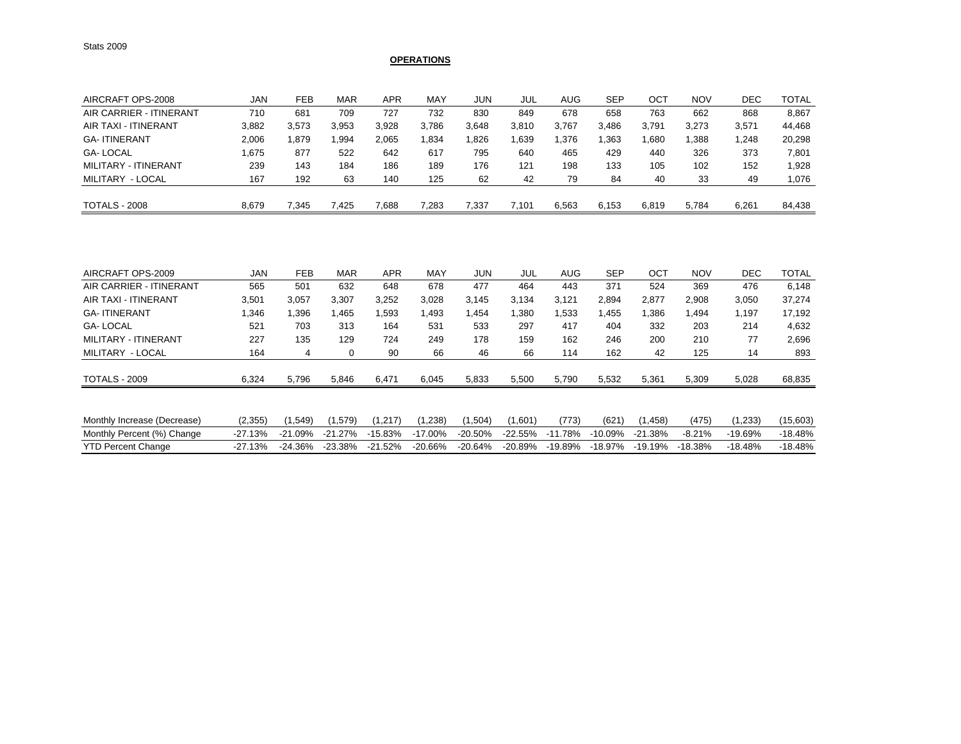## **OPERATIONS**

| AIRCRAFT OPS-2008       | JAN   | <b>FEB</b> | MAR   | <b>APR</b> | MAY   | JUN   | JUL   | AUG   | <b>SEP</b> | ост   | <b>NOV</b> | DEC   | <b>TOTAL</b> |
|-------------------------|-------|------------|-------|------------|-------|-------|-------|-------|------------|-------|------------|-------|--------------|
| AIR CARRIER - ITINERANT | 710   | 681        | 709   | 727        | 732   | 830   | 849   | 678   | 658        | 763   | 662        | 868   | 8,867        |
| AIR TAXI - ITINERANT    | 3.882 | 3.573      | 3,953 | 3,928      | 3,786 | 3.648 | 3,810 | 3,767 | 3.486      | 3.791 | 3,273      | 3,571 | 44.468       |
| <b>GA-ITINERANT</b>     | 2,006 | .879       | .994  | 2,065      | .834  | .826  | .639  | 1,376 | .363       | .680  | ,388       | .248  | 20,298       |
| <b>GA-LOCAL</b>         | 1.675 | 877        | 522   | 642        | 617   | 795   | 640   | 465   | 429        | 440   | 326        | 373   | 7,801        |
| MILITARY - ITINERANT    | 239   | 143        | 184   | 186        | 189   | 176   | 121   | 198   | 133        | 105   | 102        | 152   | 1,928        |
| MILITARY - LOCAL        | 167   | 192        | 63    | 140        | 125   | 62    | 42    | 79    | 84         | 40    | 33         | 49    | 1,076        |
| <b>TOTALS - 2008</b>    | 8.679 | 7.345      | 425.' | 7,688      | 7,283 | 7.337 | 7.101 | 6.563 | 6.153      | 6,819 | 5.784      | 6.261 | 84,438       |

| AIRCRAFT OPS-2009           | <b>JAN</b> | <b>FEB</b> | MAR       | <b>APR</b> | MAY        | <b>JUN</b> | <b>JUL</b> | <b>AUG</b> | <b>SEP</b> | OCT       | <b>NOV</b> | <b>DEC</b> | <b>TOTAL</b> |
|-----------------------------|------------|------------|-----------|------------|------------|------------|------------|------------|------------|-----------|------------|------------|--------------|
| AIR CARRIER - ITINERANT     | 565        | 501        | 632       | 648        | 678        | 477        | 464        | 443        | 371        | 524       | 369        | 476        | 6,148        |
| AIR TAXI - ITINERANT        | 3,501      | 3,057      | 3,307     | 3,252      | 3,028      | 3,145      | 3,134      | 3,121      | 2,894      | 2,877     | 2,908      | 3,050      | 37,274       |
| <b>GA-ITINERANT</b>         | 1,346      | .396       | 1,465     | .593       | 1,493      | 1,454      | .380       | .533       | l.455      | ,386      | .494       | 1.197      | 17,192       |
| <b>GA-LOCAL</b>             | 521        | 703        | 313       | 164        | 531        | 533        | 297        | 417        | 404        | 332       | 203        | 214        | 4,632        |
| MILITARY - ITINERANT        | 227        | 135        | 129       | 724        | 249        | 178        | 159        | 162        | 246        | 200       | 210        | 77         | 2,696        |
| MILITARY - LOCAL            | 164        | 4          | 0         | 90         | 66         | 46         | 66         | 114        | 162        | 42        | 125        | 14         | 893          |
| <b>TOTALS - 2009</b>        | 6,324      | 5,796      | 5,846     | 6,471      | 6,045      | 5,833      | 5,500      | 5,790      | 5,532      | 5,361     | 5,309      | 5,028      | 68,835       |
|                             |            |            |           |            |            |            |            |            |            |           |            |            |              |
| Monthly Increase (Decrease) | (2,355)    | (1,549)    | (1.579)   | (1.217)    | (1,238)    | (1,504)    | (1,601)    | (773)      | (621)      | (1,458)   | (475)      | (1,233)    | (15,603)     |
| Monthly Percent (%) Change  | $-27.13%$  | $-21.09%$  | $-21.27%$ | $-15.83%$  | $-17.00\%$ | $-20.50%$  | $-22.55%$  | $-11.78%$  | $-10.09%$  | $-21.38%$ | $-8.21%$   | $-19.69%$  | $-18.48%$    |
| <b>YTD Percent Change</b>   | $-27.13%$  | $-24.36%$  | $-23.38%$ | $-21.52%$  | $-20.66%$  | $-20.64%$  | $-20.89%$  | $-19.89%$  | $-18.97%$  | $-19.19%$ | $-18.38%$  | $-18.48%$  | $-18.48%$    |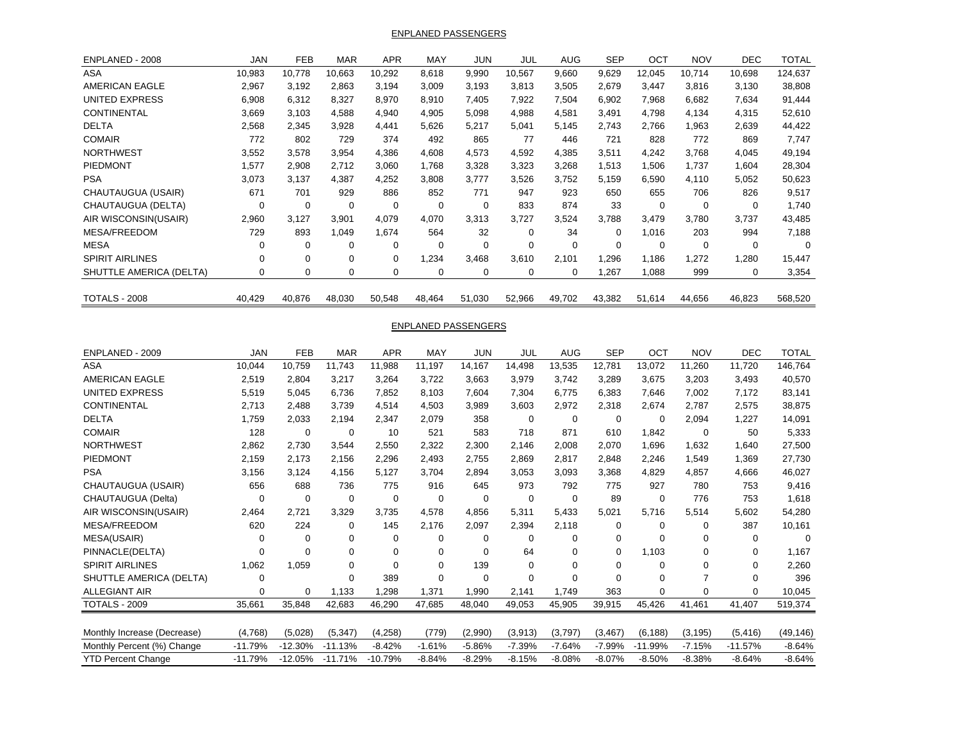ENPLANED PASSENGERS

| ENPLANED - 2008         | <b>JAN</b>  | <b>FEB</b>  | <b>MAR</b> | <b>APR</b> | MAY         | JUN         | JUL      | <b>AUG</b>  | <b>SEP</b> | OCT         | <b>NOV</b>  | <b>DEC</b> | <b>TOTAL</b> |
|-------------------------|-------------|-------------|------------|------------|-------------|-------------|----------|-------------|------------|-------------|-------------|------------|--------------|
| <b>ASA</b>              | 10,983      | 10.778      | 10,663     | 10,292     | 8,618       | 9,990       | 10,567   | 9,660       | 9,629      | 12,045      | 10,714      | 10,698     | 124,637      |
| <b>AMERICAN EAGLE</b>   | 2,967       | 3,192       | 2,863      | 3,194      | 3.009       | 3,193       | 3,813    | 3,505       | 2,679      | 3,447       | 3,816       | 3,130      | 38,808       |
| UNITED EXPRESS          | 6,908       | 6,312       | 8,327      | 8,970      | 8,910       | 7,405       | 7,922    | 7,504       | 6,902      | 7,968       | 6,682       | 7,634      | 91,444       |
| <b>CONTINENTAL</b>      | 3,669       | 3,103       | 4,588      | 4,940      | 4,905       | 5,098       | 4,988    | 4,581       | 3,491      | 4,798       | 4,134       | 4,315      | 52,610       |
| <b>DELTA</b>            | 2,568       | 2,345       | 3,928      | 4,441      | 5,626       | 5,217       | 5,041    | 5,145       | 2,743      | 2.766       | 1,963       | 2,639      | 44,422       |
| <b>COMAIR</b>           | 772         | 802         | 729        | 374        | 492         | 865         | 77       | 446         | 721        | 828         | 772         | 869        | 7,747        |
| <b>NORTHWEST</b>        | 3,552       | 3,578       | 3,954      | 4,386      | 4,608       | 4,573       | 4,592    | 4,385       | 3,511      | 4,242       | 3,768       | 4,045      | 49,194       |
| <b>PIEDMONT</b>         | 1,577       | 2,908       | 2,712      | 3,060      | 1,768       | 3,328       | 3,323    | 3,268       | 1,513      | 1,506       | 1,737       | 1,604      | 28,304       |
| <b>PSA</b>              | 3,073       | 3,137       | 4,387      | 4,252      | 3,808       | 3,777       | 3,526    | 3,752       | 5,159      | 6,590       | 4.110       | 5,052      | 50,623       |
| CHAUTAUGUA (USAIR)      | 671         | 701         | 929        | 886        | 852         | 771         | 947      | 923         | 650        | 655         | 706         | 826        | 9,517        |
| CHAUTAUGUA (DELTA)      | $\mathbf 0$ | 0           | 0          | 0          | 0           | $\mathbf 0$ | 833      | 874         | 33         | $\mathbf 0$ | $\mathbf 0$ | $\Omega$   | 1,740        |
| AIR WISCONSIN(USAIR)    | 2,960       | 3,127       | 3,901      | 4.079      | 4,070       | 3,313       | 3,727    | 3,524       | 3,788      | 3,479       | 3.780       | 3,737      | 43,485       |
| MESA/FREEDOM            | 729         | 893         | 1,049      | 1,674      | 564         | 32          | $\Omega$ | 34          | $\Omega$   | 1,016       | 203         | 994        | 7,188        |
| <b>MESA</b>             | 0           | $\mathbf 0$ | 0          | 0          | $\mathbf 0$ | $\Omega$    | $\Omega$ | $\mathbf 0$ | $\Omega$   | $\Omega$    | $\Omega$    | $\Omega$   | $\Omega$     |
| <b>SPIRIT AIRLINES</b>  | $\mathbf 0$ | $\mathbf 0$ | $\Omega$   | 0          | 1,234       | 3,468       | 3,610    | 2,101       | 1,296      | 1,186       | 1,272       | 1,280      | 15,447       |
| SHUTTLE AMERICA (DELTA) | 0           | 0           | 0          | 0          | 0           | 0           | 0        | 0           | 1,267      | 0.088       | 999         | 0          | 3,354        |
| <b>TOTALS - 2008</b>    | 40,429      | 40,876      | 48,030     | 50,548     | 48,464      | 51,030      | 52,966   | 49,702      | 43,382     | 51,614      | 44,656      | 46,823     | 568,520      |

## ENPLANED PASSENGERS

| ENPLANED - 2009             | <b>JAN</b>  | <b>FEB</b> | <b>MAR</b> | <b>APR</b> | <b>MAY</b>  | JUN      | JUL      | <b>AUG</b>  | <b>SEP</b> | OCT       | <b>NOV</b>  | <b>DEC</b> | <b>TOTAL</b> |
|-----------------------------|-------------|------------|------------|------------|-------------|----------|----------|-------------|------------|-----------|-------------|------------|--------------|
| <b>ASA</b>                  | 10,044      | 10,759     | 11,743     | 11,988     | 11,197      | 14,167   | 14,498   | 13,535      | 12,781     | 13,072    | 11,260      | 11,720     | 146,764      |
| <b>AMERICAN EAGLE</b>       | 2,519       | 2.804      | 3,217      | 3,264      | 3,722       | 3,663    | 3,979    | 3,742       | 3,289      | 3,675     | 3,203       | 3.493      | 40,570       |
| <b>UNITED EXPRESS</b>       | 5,519       | 5,045      | 6,736      | 7,852      | 8,103       | 7,604    | 7,304    | 6,775       | 6,383      | 7,646     | 7,002       | 7,172      | 83,141       |
| <b>CONTINENTAL</b>          | 2,713       | 2.488      | 3,739      | 4.514      | 4,503       | 3,989    | 3,603    | 2,972       | 2,318      | 2,674     | 2,787       | 2,575      | 38,875       |
| <b>DELTA</b>                | 1.759       | 2,033      | 2,194      | 2,347      | 2.079       | 358      | $\Omega$ | $\mathbf 0$ | $\Omega$   | $\Omega$  | 2,094       | 1,227      | 14,091       |
| <b>COMAIR</b>               | 128         | 0          | 0          | 10         | 521         | 583      | 718      | 871         | 610        | 1,842     | 0           | 50         | 5,333        |
| <b>NORTHWEST</b>            | 2,862       | 2,730      | 3,544      | 2,550      | 2,322       | 2,300    | 2.146    | 2.008       | 2,070      | 1,696     | 1.632       | 1,640      | 27,500       |
| PIEDMONT                    | 2,159       | 2,173      | 2,156      | 2,296      | 2,493       | 2,755    | 2,869    | 2,817       | 2,848      | 2,246     | 1,549       | 1,369      | 27,730       |
| <b>PSA</b>                  | 3,156       | 3,124      | 4,156      | 5,127      | 3.704       | 2,894    | 3,053    | 3,093       | 3,368      | 4,829     | 4.857       | 4.666      | 46,027       |
| CHAUTAUGUA (USAIR)          | 656         | 688        | 736        | 775        | 916         | 645      | 973      | 792         | 775        | 927       | 780         | 753        | 9,416        |
| CHAUTAUGUA (Delta)          | 0           | 0          | 0          | 0          | $\mathbf 0$ | 0        | 0        | $\mathbf 0$ | 89         | 0         | 776         | 753        | 1,618        |
| AIR WISCONSIN(USAIR)        | 2,464       | 2,721      | 3,329      | 3,735      | 4,578       | 4,856    | 5,311    | 5,433       | 5,021      | 5,716     | 5,514       | 5,602      | 54,280       |
| MESA/FREEDOM                | 620         | 224        | $\Omega$   | 145        | 2,176       | 2,097    | 2,394    | 2,118       | 0          | 0         | 0           | 387        | 10,161       |
| MESA(USAIR)                 | $\Omega$    | 0          | $\Omega$   | 0          | 0           | $\Omega$ | $\Omega$ | 0           | 0          | $\Omega$  | $\Omega$    | $\Omega$   | $\Omega$     |
| PINNACLE(DELTA)             | $\Omega$    | $\Omega$   | $\Omega$   | $\Omega$   | 0           | 0        | 64       | $\Omega$    | $\Omega$   | 1,103     | $\Omega$    | $\Omega$   | 1,167        |
| <b>SPIRIT AIRLINES</b>      | 1,062       | 1,059      | $\Omega$   | $\Omega$   | 0           | 139      | $\Omega$ | $\Omega$    | 0          | $\Omega$  | 0           | 0          | 2,260        |
| SHUTTLE AMERICA (DELTA)     | $\mathbf 0$ |            | $\Omega$   | 389        | $\Omega$    | 0        | $\Omega$ | $\Omega$    | $\Omega$   | $\Omega$  |             | $\Omega$   | 396          |
| <b>ALLEGIANT AIR</b>        | $\mathbf 0$ | 0          | 1,133      | ,298       | 1,371       | 1,990    | 2,141    | 1,749       | 363        | 0         | $\mathbf 0$ | 0          | 10,045       |
| <b>TOTALS - 2009</b>        | 35,661      | 35,848     | 42,683     | 46,290     | 47,685      | 48,040   | 49,053   | 45,905      | 39,915     | 45,426    | 41,461      | 41,407     | 519,374      |
| Monthly Increase (Decrease) | (4,768)     | (5,028)    | (5, 347)   | (4,258)    | (779)       | (2,990)  | (3,913)  | (3,797)     | (3, 467)   | (6, 188)  | (3, 195)    | (5, 416)   | (49, 146)    |
| Monthly Percent (%) Change  | $-11.79%$   | $-12.30%$  | $-11.13%$  | $-8.42%$   | $-1.61%$    | $-5.86%$ | $-7.39%$ | $-7.64%$    | $-7.99%$   | $-11.99%$ | $-7.15%$    | $-11.57%$  | $-8.64%$     |
| <b>YTD Percent Change</b>   | $-11.79%$   | $-12.05%$  | $-11.71%$  | $-10.79%$  | $-8.84%$    | $-8.29%$ | $-8.15%$ | $-8.08%$    | $-8.07%$   | $-8.50%$  | $-8.38%$    | $-8.64%$   | $-8.64%$     |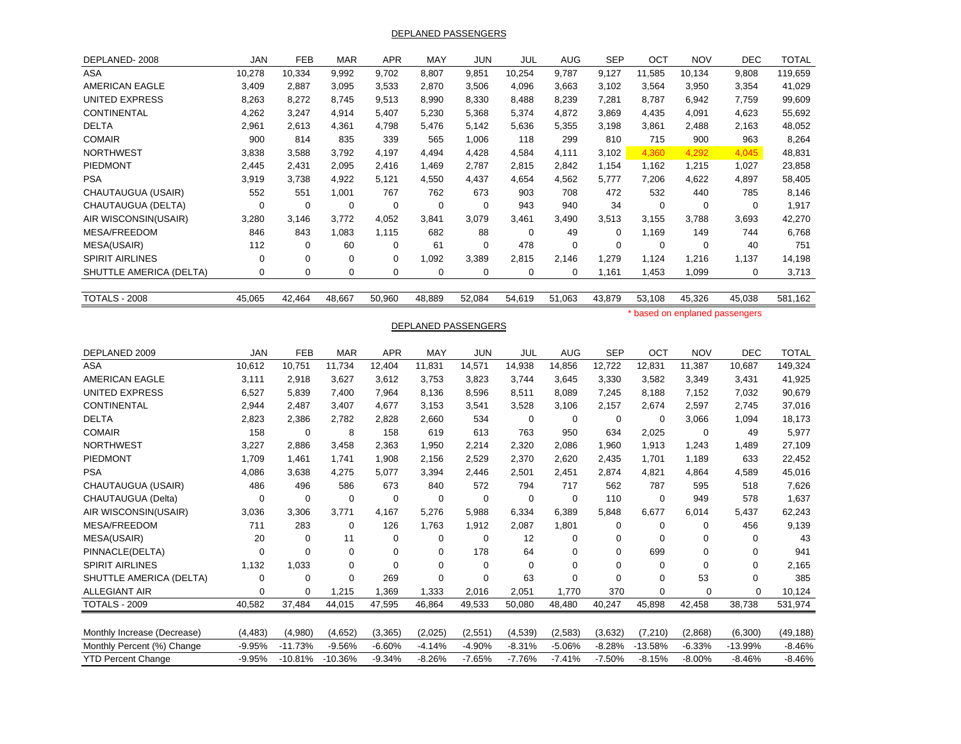DEPLANED PASSENGERS

| DEPLANED-2008               | <b>JAN</b>  | <b>FEB</b>       | <b>MAR</b>  | <b>APR</b>  | MAY         | <b>JUN</b>          | JUL         | <b>AUG</b>       | <b>SEP</b>  | OCT            | <b>NOV</b>                     | <b>DEC</b>  | <b>TOTAL</b> |
|-----------------------------|-------------|------------------|-------------|-------------|-------------|---------------------|-------------|------------------|-------------|----------------|--------------------------------|-------------|--------------|
| ASA                         | 10,278      | 10,334           | 9,992       | 9,702       | 8,807       | 9,851               | 10,254      | 9,787            | 9,127       | 11,585         | 10,134                         | 9,808       | 119,659      |
| <b>AMERICAN EAGLE</b>       | 3,409       | 2,887            | 3,095       | 3,533       | 2,870       | 3,506               | 4,096       | 3,663            | 3,102       | 3,564          | 3,950                          | 3,354       | 41,029       |
| <b>UNITED EXPRESS</b>       | 8,263       | 8,272            | 8,745       | 9,513       | 8,990       | 8,330               | 8,488       | 8,239            | 7,281       | 8,787          | 6,942                          | 7,759       | 99,609       |
| CONTINENTAL                 | 4,262       | 3,247            | 4,914       | 5,407       | 5,230       | 5,368               | 5,374       | 4,872            | 3,869       | 4,435          | 4,091                          | 4,623       | 55,692       |
| <b>DELTA</b>                | 2,961       | 2,613            | 4,361       | 4,798       | 5,476       | 5,142               | 5,636       | 5,355            | 3,198       | 3,861          | 2,488                          | 2,163       | 48,052       |
| <b>COMAIR</b>               | 900         | 814              | 835         | 339         | 565         | 1,006               | 118         | 299              | 810         | 715            | 900                            | 963         | 8,264        |
| <b>NORTHWEST</b>            | 3,838       | 3,588            | 3,792       | 4,197       | 4,494       | 4,428               | 4,584       | 4,111            | 3,102       | 4,360          | 4,292                          | 4,045       | 48,831       |
| PIEDMONT                    | 2,445       | 2,431            | 2,095       | 2,416       | 1,469       | 2,787               | 2,815       | 2,842            | 1,154       | 1,162          | 1,215                          | 1,027       | 23,858       |
| <b>PSA</b>                  | 3,919       | 3,738            | 4,922       | 5,121       | 4,550       | 4,437               | 4,654       | 4,562            | 5,777       | 7,206          | 4,622                          | 4,897       | 58,405       |
| CHAUTAUGUA (USAIR)          | 552         | 551              | 1,001       | 767         | 762         | 673                 | 903         | 708              | 472         | 532            | 440                            | 785         | 8,146        |
| CHAUTAUGUA (DELTA)          | $\mathbf 0$ | $\boldsymbol{0}$ | $\mathbf 0$ | $\mathbf 0$ | $\mathbf 0$ | $\mathbf 0$         | 943         | 940              | 34          | $\mathbf 0$    | $\overline{0}$                 | $\mathbf 0$ | 1,917        |
| AIR WISCONSIN(USAIR)        | 3,280       | 3,146            | 3,772       | 4,052       | 3,841       | 3,079               | 3,461       | 3,490            | 3,513       | 3,155          | 3,788                          | 3,693       | 42,270       |
| <b>MESA/FREEDOM</b>         | 846         | 843              | 1,083       | 1,115       | 682         | 88                  | $\mathbf 0$ | 49               | $\mathbf 0$ | 1,169          | 149                            | 744         | 6,768        |
| MESA(USAIR)                 | 112         | $\mathbf 0$      | 60          | $\mathbf 0$ | 61          | $\mathbf 0$         | 478         | $\mathbf 0$      | $\mathbf 0$ | $\mathbf 0$    | $\mathbf 0$                    | 40          | 751          |
| <b>SPIRIT AIRLINES</b>      | 0           | 0                | $\pmb{0}$   | $\mathbf 0$ | 1,092       | 3,389               | 2,815       | 2,146            | 1,279       | 1,124          | 1,216                          | 1,137       | 14,198       |
| SHUTTLE AMERICA (DELTA)     | 0           | $\mathbf 0$      | $\mathbf 0$ | 0           | $\mathbf 0$ | $\mathbf 0$         | $\mathbf 0$ | $\mathbf 0$      | 1,161       | 1,453          | 1,099                          | $\mathbf 0$ | 3,713        |
|                             |             |                  |             |             |             |                     |             |                  |             |                |                                |             |              |
| <b>TOTALS - 2008</b>        | 45,065      | 42,464           | 48,667      | 50,960      | 48,889      | 52,084              | 54,619      | 51,063           | 43,879      | 53,108         | 45,326                         | 45,038      | 581,162      |
|                             |             |                  |             |             |             |                     |             |                  |             |                | * based on enplaned passengers |             |              |
|                             |             |                  |             |             |             | DEPLANED PASSENGERS |             |                  |             |                |                                |             |              |
| DEPLANED 2009               | <b>JAN</b>  | FEB              | <b>MAR</b>  | <b>APR</b>  | MAY         | <b>JUN</b>          | JUL         | <b>AUG</b>       | <b>SEP</b>  | OCT            | <b>NOV</b>                     | <b>DEC</b>  | <b>TOTAL</b> |
| ASA                         | 10,612      | 10,751           | 11,734      | 12,404      | 11,831      | 14,571              | 14,938      | 14,856           | 12,722      | 12,831         | 11,387                         | 10,687      | 149,324      |
| <b>AMERICAN EAGLE</b>       | 3,111       | 2,918            | 3,627       | 3,612       | 3,753       | 3,823               | 3,744       | 3,645            | 3,330       | 3,582          | 3,349                          | 3,431       | 41,925       |
| <b>UNITED EXPRESS</b>       | 6,527       | 5,839            | 7,400       | 7,964       | 8,136       | 8,596               | 8,511       | 8,089            | 7,245       | 8,188          | 7,152                          | 7,032       | 90,679       |
| CONTINENTAL                 | 2,944       | 2,487            | 3,407       | 4,677       | 3,153       | 3,541               | 3,528       | 3,106            | 2,157       | 2,674          | 2,597                          | 2,745       | 37,016       |
| <b>DELTA</b>                | 2,823       | 2,386            | 2,782       | 2,828       | 2,660       | 534                 | $\mathbf 0$ | $\mathbf 0$      | $\mathbf 0$ | $\mathbf 0$    | 3,066                          | 1,094       | 18,173       |
| <b>COMAIR</b>               | 158         | $\mathbf 0$      | 8           | 158         | 619         | 613                 | 763         | 950              | 634         | 2,025          | $\mathbf 0$                    | 49          | 5,977        |
| <b>NORTHWEST</b>            | 3,227       | 2,886            | 3,458       | 2,363       | 1,950       | 2,214               | 2,320       | 2,086            | 1,960       | 1,913          | 1,243                          | 1,489       | 27,109       |
| PIEDMONT                    | 1,709       | 1,461            | 1,741       | 1,908       | 2,156       | 2,529               | 2,370       | 2,620            | 2,435       | 1,701          | 1,189                          | 633         | 22,452       |
| <b>PSA</b>                  | 4,086       | 3,638            | 4,275       | 5,077       | 3,394       | 2,446               | 2,501       | 2,451            | 2,874       | 4,821          | 4,864                          | 4,589       | 45,016       |
| CHAUTAUGUA (USAIR)          | 486         | 496              | 586         | 673         | 840         | 572                 | 794         | 717              | 562         | 787            | 595                            | 518         | 7,626        |
| CHAUTAUGUA (Delta)          | 0           | 0                | $\mathbf 0$ | $\mathbf 0$ | $\mathbf 0$ | 0                   | $\mathbf 0$ | $\mathbf 0$      | 110         | $\mathbf 0$    | 949                            | 578         | 1,637        |
| AIR WISCONSIN(USAIR)        | 3,036       | 3,306            | 3,771       | 4,167       | 5,276       | 5,988               | 6,334       | 6,389            | 5,848       | 6,677          | 6,014                          | 5,437       | 62,243       |
| <b>MESA/FREEDOM</b>         | 711         | 283              | $\mathbf 0$ | 126         | 1,763       | 1,912               | 2,087       | 1,801            | $\mathbf 0$ | $\mathbf 0$    | $\mathbf 0$                    | 456         | 9,139        |
| MESA(USAIR)                 | 20          | $\mathbf 0$      | 11          | $\mathbf 0$ | $\mathbf 0$ | 0                   | 12          | $\mathbf 0$      | $\mathbf 0$ | $\mathbf 0$    | $\mathbf 0$                    | 0           | 43           |
| PINNACLE(DELTA)             | $\mathbf 0$ | $\mathbf 0$      | $\mathbf 0$ | $\mathbf 0$ | $\mathbf 0$ | 178                 | 64          | $\mathbf 0$      | $\mathbf 0$ | 699            | $\mathbf 0$                    | $\mathbf 0$ | 941          |
| <b>SPIRIT AIRLINES</b>      | 1,132       | 1,033            | $\mathbf 0$ | $\mathbf 0$ | $\mathbf 0$ | $\Omega$            | $\Omega$    | $\mathbf 0$      | $\mathbf 0$ | $\Omega$       | $\Omega$                       | $\mathbf 0$ | 2,165        |
| SHUTTLE AMERICA (DELTA)     | 0           | $\mathbf 0$      | $\mathbf 0$ | 269         | $\mathbf 0$ | $\mathbf 0$         | 63          | $\boldsymbol{0}$ | $\mathbf 0$ | $\overline{0}$ | 53                             | $\mathbf 0$ | 385          |
| <b>ALLEGIANT AIR</b>        | 0           | 0                | 1,215       | 1,369       | 1,333       | 2,016               | 2,051       | 1,770            | 370         | 0              | 0                              | 0           | 10,124       |
| <b>TOTALS - 2009</b>        | 40,582      | 37,484           | 44,015      | 47,595      | 46,864      | 49,533              | 50,080      | 48,480           | 40,247      | 45,898         | 42,458                         | 38,738      | 531,974      |
|                             |             |                  |             |             |             |                     |             |                  |             |                |                                |             |              |
| Monthly Increase (Decrease) | (4, 483)    | (4,980)          | (4,652)     | (3, 365)    | (2,025)     | (2,551)             | (4,539)     | (2,583)          | (3,632)     | (7, 210)       | (2,868)                        | (6,300)     | (49, 188)    |
| Monthly Percent (%) Change  | $-9.95%$    | $-11.73%$        | $-9.56%$    | $-6.60%$    | $-4.14%$    | $-4.90%$            | $-8.31%$    | $-5.06%$         | $-8.28%$    | $-13.58%$      | $-6.33%$                       | $-13.99%$   | $-8.46%$     |
| <b>YTD Percent Change</b>   | $-9.95%$    | $-10.81%$        | $-10.36%$   | $-9.34%$    | $-8.26%$    | $-7.65%$            | $-7.76%$    | $-7.41%$         | $-7.50%$    | $-8.15%$       | $-8.00%$                       | $-8.46%$    | $-8.46%$     |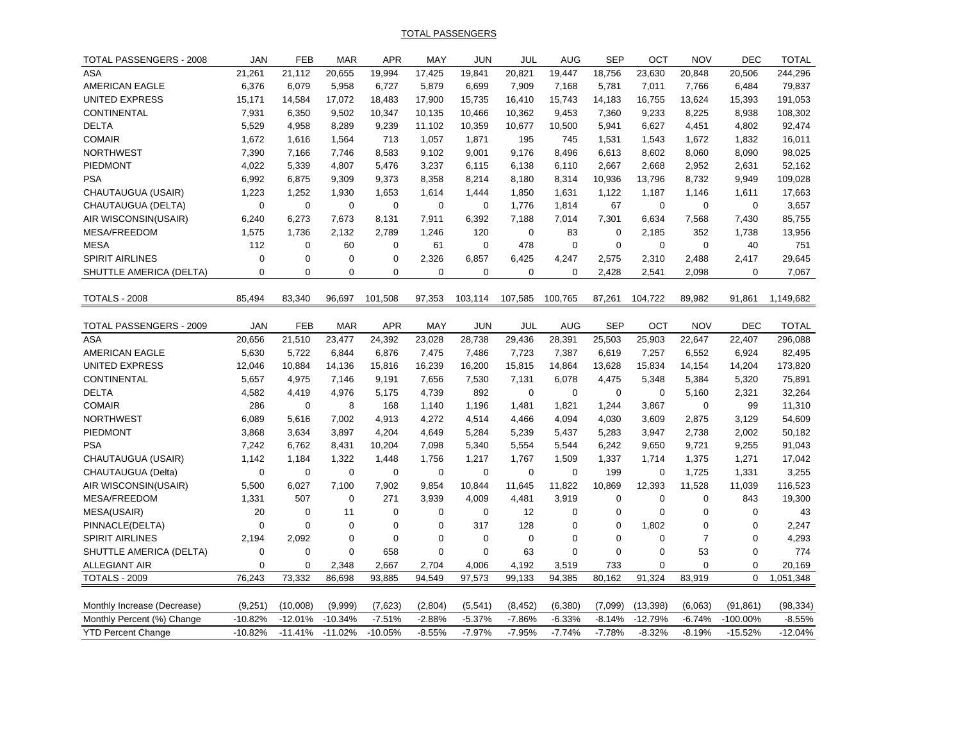TOTAL PASSENGERS

| TOTAL PASSENGERS - 2008     | <b>JAN</b>  | <b>FEB</b>           | <b>MAR</b>  | <b>APR</b>     | <b>MAY</b>  | <b>JUN</b>         | JUL         | <b>AUG</b>  | <b>SEP</b>  | OCT               | <b>NOV</b>     | <b>DEC</b>  | <b>TOTAL</b>  |
|-----------------------------|-------------|----------------------|-------------|----------------|-------------|--------------------|-------------|-------------|-------------|-------------------|----------------|-------------|---------------|
| <b>ASA</b>                  | 21,261      | 21,112               | 20,655      | 19,994         | 17,425      | 19,841             | 20,821      | 19,447      | 18,756      | 23,630            | 20,848         | 20,506      | 244,296       |
| AMERICAN EAGLE              | 6,376       | 6,079                | 5,958       | 6,727          | 5,879       | 6,699              | 7,909       | 7,168       | 5,781       | 7,011             | 7,766          | 6,484       | 79,837        |
| <b>UNITED EXPRESS</b>       | 15,171      | 14,584               | 17,072      | 18,483         | 17,900      | 15,735             | 16,410      | 15,743      | 14,183      | 16,755            | 13,624         | 15,393      | 191,053       |
| <b>CONTINENTAL</b>          | 7,931       | 6,350                | 9,502       | 10,347         | 10,135      | 10,466             | 10,362      | 9,453       | 7,360       | 9,233             | 8,225          | 8,938       | 108,302       |
| <b>DELTA</b>                | 5,529       | 4,958                | 8,289       | 9,239          | 11,102      | 10,359             | 10,677      | 10,500      | 5,941       | 6,627             | 4,451          | 4,802       | 92,474        |
| <b>COMAIR</b>               | 1,672       | 1,616                | 1,564       | 713            | 1,057       | 1,871              | 195         | 745         | 1,531       | 1,543             | 1,672          | 1,832       | 16,011        |
| <b>NORTHWEST</b>            | 7,390       | 7,166                | 7,746       | 8,583          | 9,102       | 9,001              | 9,176       | 8,496       | 6,613       | 8,602             | 8,060          | 8,090       | 98,025        |
| <b>PIEDMONT</b>             | 4,022       | 5,339                | 4,807       | 5,476          | 3,237       | 6,115              | 6,138       | 6,110       | 2,667       | 2,668             | 2,952          | 2,631       | 52,162        |
| <b>PSA</b>                  | 6,992       | 6,875                | 9,309       | 9,373          | 8,358       | 8,214              | 8,180       | 8,314       | 10,936      | 13,796            | 8,732          | 9,949       | 109,028       |
| CHAUTAUGUA (USAIR)          | 1,223       | 1,252                | 1,930       | 1,653          | 1,614       | 1,444              | 1,850       | 1,631       | 1,122       | 1,187             | 1,146          | 1,611       | 17,663        |
| CHAUTAUGUA (DELTA)          | $\pmb{0}$   | 0                    | $\mathbf 0$ | $\mathbf 0$    | $\mathbf 0$ | 0                  | 1,776       | 1,814       | 67          | $\mathbf 0$       | $\mathbf 0$    | $\mathbf 0$ | 3,657         |
| AIR WISCONSIN(USAIR)        | 6,240       | 6,273                | 7,673       | 8,131          | 7,911       | 6,392              | 7,188       | 7,014       | 7,301       |                   | 7,568          | 7,430       | 85,755        |
| MESA/FREEDOM                | 1,575       |                      | 2,132       | 2,789          |             |                    | $\mathbf 0$ | 83          | $\mathbf 0$ | 6,634             | 352            |             |               |
| <b>MESA</b>                 | 112         | 1,736<br>$\mathbf 0$ | 60          | 0              | 1,246<br>61 | 120<br>$\mathbf 0$ | 478         | $\mathbf 0$ | $\mathbf 0$ | 2,185<br>$\Omega$ | $\Omega$       | 1,738<br>40 | 13,956<br>751 |
| <b>SPIRIT AIRLINES</b>      | 0           | 0                    | $\mathbf 0$ | 0              | 2,326       |                    | 6,425       |             |             |                   | 2,488          | 2,417       |               |
|                             |             | $\mathbf 0$          |             |                |             | 6,857              |             | 4,247       | 2,575       | 2,310             |                |             | 29,645        |
| SHUTTLE AMERICA (DELTA)     | 0           |                      | $\mathbf 0$ | 0              | $\mathbf 0$ | 0                  | 0           | 0           | 2,428       | 2,541             | 2,098          | 0           | 7,067         |
| <b>TOTALS - 2008</b>        | 85,494      | 83,340               | 96,697      | 101,508        | 97,353      | 103,114            | 107,585     | 100,765     | 87,261      | 104,722           | 89,982         | 91,861      | 1,149,682     |
|                             |             |                      |             |                |             |                    |             |             |             |                   |                |             |               |
| TOTAL PASSENGERS - 2009     | <b>JAN</b>  | <b>FEB</b>           | <b>MAR</b>  | <b>APR</b>     | MAY         | <b>JUN</b>         | JUL         | <b>AUG</b>  | <b>SEP</b>  | OCT               | <b>NOV</b>     | <b>DEC</b>  | <b>TOTAL</b>  |
| <b>ASA</b>                  | 20,656      | 21,510               | 23,477      | 24,392         | 23,028      | 28,738             | 29,436      | 28,391      | 25,503      | 25,903            | 22,647         | 22,407      | 296,088       |
| AMERICAN EAGLE              | 5,630       | 5,722                | 6,844       | 6,876          | 7,475       | 7,486              | 7,723       | 7,387       | 6,619       | 7,257             | 6,552          | 6,924       | 82,495        |
| UNITED EXPRESS              | 12,046      | 10,884               | 14,136      | 15,816         | 16,239      | 16,200             | 15,815      | 14,864      | 13,628      | 15,834            | 14,154         | 14,204      | 173,820       |
| CONTINENTAL                 | 5,657       | 4,975                | 7,146       | 9,191          | 7,656       | 7,530              | 7,131       | 6,078       | 4,475       | 5,348             | 5,384          | 5,320       | 75,891        |
| <b>DELTA</b>                | 4,582       | 4,419                | 4,976       | 5,175          | 4,739       | 892                | $\mathbf 0$ | $\mathbf 0$ | $\mathbf 0$ | $\mathbf 0$       | 5,160          | 2,321       | 32,264        |
| <b>COMAIR</b>               | 286         | 0                    | 8           | 168            | 1,140       | 1,196              | 1,481       | 1,821       | 1,244       | 3,867             | $\mathbf 0$    | 99          | 11,310        |
| <b>NORTHWEST</b>            | 6,089       | 5,616                | 7,002       | 4,913          | 4,272       | 4,514              | 4,466       | 4,094       | 4,030       | 3,609             | 2,875          | 3,129       | 54,609        |
| PIEDMONT                    | 3,868       | 3,634                | 3,897       | 4,204          | 4,649       | 5,284              | 5,239       | 5,437       | 5,283       | 3,947             | 2,738          | 2,002       | 50,182        |
| <b>PSA</b>                  | 7,242       | 6,762                | 8,431       | 10,204         | 7,098       | 5,340              | 5,554       | 5,544       | 6,242       | 9,650             | 9,721          | 9,255       | 91,043        |
| CHAUTAUGUA (USAIR)          | 1,142       | 1,184                | 1,322       | 1,448          | 1,756       | 1,217              | 1,767       | 1,509       | 1,337       | 1,714             | 1,375          | 1,271       | 17,042        |
| CHAUTAUGUA (Delta)          | $\pmb{0}$   | 0                    | $\mathbf 0$ | 0              | $\mathbf 0$ | $\boldsymbol{0}$   | $\mathbf 0$ | 0           | 199         | $\boldsymbol{0}$  | 1,725          | 1,331       | 3,255         |
| AIR WISCONSIN(USAIR)        | 5,500       | 6,027                | 7,100       | 7,902          | 9,854       | 10,844             | 11,645      | 11,822      | 10,869      | 12,393            | 11,528         | 11,039      | 116,523       |
| MESA/FREEDOM                | 1,331       | 507                  | $\mathbf 0$ | 271            | 3,939       | 4,009              | 4,481       | 3,919       | $\mathbf 0$ | $\mathbf 0$       | $\mathbf 0$    | 843         | 19,300        |
| MESA(USAIR)                 | 20          | $\mathbf 0$          | 11          | 0              | $\mathbf 0$ | $\mathbf 0$        | 12          | $\mathbf 0$ | $\mathbf 0$ | $\Omega$          | $\mathbf 0$    | $\mathbf 0$ | 43            |
| PINNACLE(DELTA)             | $\mathbf 0$ | $\mathbf 0$          | $\mathbf 0$ | $\overline{0}$ | $\pmb{0}$   | 317                | 128         | 0           | $\mathbf 0$ | 1,802             | $\mathbf 0$    | $\mathbf 0$ | 2,247         |
| <b>SPIRIT AIRLINES</b>      | 2,194       | 2,092                | 0           | $\overline{0}$ | $\mathbf 0$ | $\mathbf 0$        | $\mathbf 0$ | $\mathbf 0$ | $\mathbf 0$ | $\mathbf 0$       | $\overline{7}$ | $\mathbf 0$ | 4,293         |
| SHUTTLE AMERICA (DELTA)     | $\mathbf 0$ | $\mathbf 0$          | $\mathbf 0$ | 658            | $\mathbf 0$ | $\mathbf 0$        | 63          | $\mathbf 0$ | $\mathbf 0$ | $\Omega$          | 53             | $\mathbf 0$ | 774           |
| <b>ALLEGIANT AIR</b>        | $\Omega$    | $\Omega$             | 2,348       | 2,667          | 2,704       | 4,006              | 4,192       | 3,519       | 733         | $\Omega$          | $\Omega$       | $\Omega$    | 20,169        |
| TOTALS - 2009               | 76,243      | 73,332               | 86,698      | 93,885         | 94,549      | 97,573             | 99,133      | 94,385      | 80,162      | 91,324            | 83,919         | $\mathbf 0$ | 1,051,348     |
|                             |             |                      |             |                |             |                    |             |             |             |                   |                |             |               |
| Monthly Increase (Decrease) | (9,251)     | (10,008)             | (9,999)     | (7,623)        | (2,804)     | (5,541)            | (8, 452)    | (6, 380)    | (7.099)     | (13, 398)         | (6,063)        | (91, 861)   | (98, 334)     |
| Monthly Percent (%) Change  | $-10.82%$   | $-12.01%$            | $-10.34%$   | $-7.51%$       | $-2.88%$    | $-5.37%$           | $-7.86%$    | $-6.33%$    | $-8.14%$    | $-12.79%$         | $-6.74%$       | -100.00%    | $-8.55%$      |
| <b>YTD Percent Change</b>   | $-10.82%$   | $-11.41%$            | $-11.02%$   | $-10.05%$      | $-8.55%$    | $-7.97%$           | $-7.95%$    | $-7.74%$    | $-7.78%$    | $-8.32%$          | $-8.19%$       | $-15.52%$   | $-12.04%$     |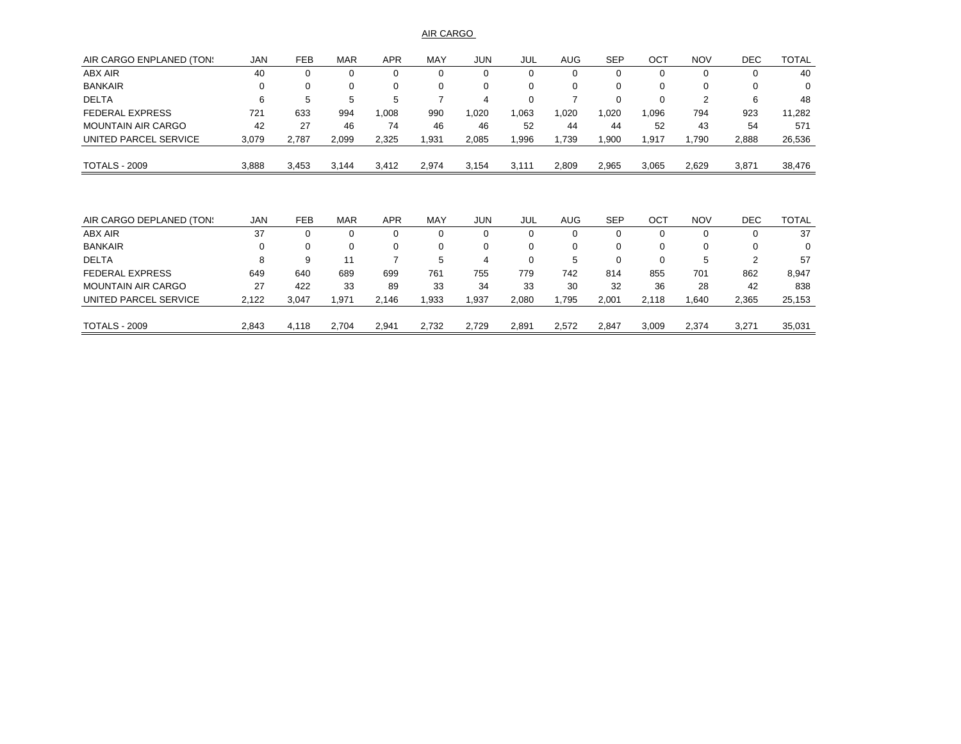AIR CARGO

| AIR CARGO ENPLANED (TON:  | <b>JAN</b> | <b>FEB</b> | <b>MAR</b> | <b>APR</b> | MAY   | <b>JUN</b> | JUL      | <b>AUG</b> | <b>SEP</b> | OCT      | <b>NOV</b> | <b>DEC</b> | <b>TOTAL</b> |
|---------------------------|------------|------------|------------|------------|-------|------------|----------|------------|------------|----------|------------|------------|--------------|
| ABX AIR                   | 40         | 0          | 0          | 0          | 0     |            |          | 0          | 0          |          | 0          | 0          | 40           |
| <b>BANKAIR</b>            | 0          | 0          | 0          | 0          | 0     | 0          | $\Omega$ | 0          | 0          | $\Omega$ | 0          | 0          | 0            |
| <b>DELTA</b>              | 6          | 5          | 5          | 5          |       | 4          | $\Omega$ |            | $\Omega$   | $\Omega$ | 2          | 6          | 48           |
| <b>FEDERAL EXPRESS</b>    | 721        | 633        | 994        | 1,008      | 990   | 1,020      | 063      | 1,020      | 1,020      | ,096     | 794        | 923        | 11,282       |
| <b>MOUNTAIN AIR CARGO</b> | 42         | 27         | 46         | 74         | 46    | 46         | 52       | 44         | 44         | 52       | 43         | 54         | 571          |
| UNITED PARCEL SERVICE     | 3,079      | 2,787      | 2,099      | 2,325      | 1,931 | 2,085      | .996     | 1,739      | 1,900      | ,917     | 1,790      | 2,888      | 26,536       |
| <b>TOTALS - 2009</b>      | 3,888      | 3,453      | 3,144      | 3,412      | 2,974 | 3,154      | 3,111    | 2,809      | 2,965      | 3,065    | 2,629      | 3,871      | 38,476       |
|                           |            |            |            |            |       |            |          |            |            |          |            |            |              |
|                           |            |            |            |            |       |            |          |            |            |          |            |            |              |
| AIR CARGO DEPLANED (TON:  | <b>JAN</b> | <b>FEB</b> | <b>MAR</b> | <b>APR</b> | MAY   | <b>JUN</b> | JUL      | <b>AUG</b> | <b>SEP</b> | OCT      | <b>NOV</b> | <b>DEC</b> | <b>TOTAL</b> |

|                           | <b>.</b> | ---   | . <i>.</i> | .     | .     | .     | ---   | $\sim$ | --    | --    | $\cdots$ | ---   | .      |
|---------------------------|----------|-------|------------|-------|-------|-------|-------|--------|-------|-------|----------|-------|--------|
| ABX AIR                   | 37       |       | U          |       |       |       |       |        |       |       |          |       | 37     |
| <b>BANKAIR</b>            | 0        |       |            |       |       |       |       |        |       |       | 0        |       | 0      |
| <b>DELTA</b>              | 8        |       |            |       | 5     | 4     |       | 5      |       |       | 5        |       | 57     |
| <b>FEDERAL EXPRESS</b>    | 649      | 640   | 689        | 699   | 761   | 755   | 779   | 742    | 814   | 855   | 701      | 862   | 8,947  |
| <b>MOUNTAIN AIR CARGO</b> | 27       | 422   | 33         | 89    | 33    | 34    | 33    | 30     | 32    | 36    | 28       | 42    | 838    |
| UNITED PARCEL SERVICE     | 2,122    | 3,047 | 971.،      | 2.146 | ,933  | ,937  | 2,080 | .795   | 2,001 | 2.118 | .640     | 2,365 | 25,153 |
|                           |          |       |            |       |       |       |       |        |       |       |          |       |        |
| <b>TOTALS - 2009</b>      | 2.843    | 4.118 | 2,704      | 2,941 | 2,732 | 2.729 | 2.891 | 2.572  | 2.847 | 3.009 | 2.374    | 3,271 | 35,031 |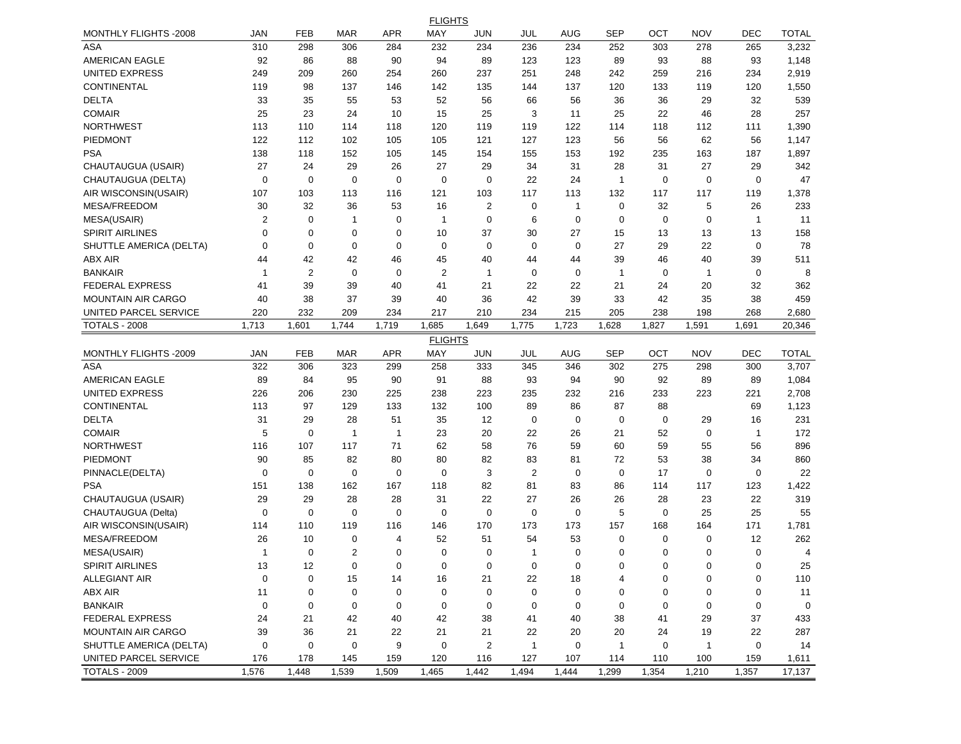|                           |                         |                |                |             | <b>FLIGHTS</b> |                |                |              |              |             |              |              |                |
|---------------------------|-------------------------|----------------|----------------|-------------|----------------|----------------|----------------|--------------|--------------|-------------|--------------|--------------|----------------|
| MONTHLY FLIGHTS -2008     | <b>JAN</b>              | FEB            | <b>MAR</b>     | <b>APR</b>  | MAY            | <b>JUN</b>     | JUL            | AUG          | <b>SEP</b>   | ОСТ         | <b>NOV</b>   | <b>DEC</b>   | <b>TOTAL</b>   |
| <b>ASA</b>                | 310                     | 298            | 306            | 284         | 232            | 234            | 236            | 234          | 252          | 303         | 278          | 265          | 3,232          |
| AMERICAN EAGLE            | 92                      | 86             | 88             | 90          | 94             | 89             | 123            | 123          | 89           | 93          | 88           | 93           | 1,148          |
| <b>UNITED EXPRESS</b>     | 249                     | 209            | 260            | 254         | 260            | 237            | 251            | 248          | 242          | 259         | 216          | 234          | 2,919          |
| CONTINENTAL               | 119                     | 98             | 137            | 146         | 142            | 135            | 144            | 137          | 120          | 133         | 119          | 120          | 1,550          |
| <b>DELTA</b>              | 33                      | 35             | 55             | 53          | 52             | 56             | 66             | 56           | 36           | 36          | 29           | 32           | 539            |
| <b>COMAIR</b>             | 25                      | 23             | 24             | 10          | 15             | 25             | 3              | 11           | 25           | 22          | 46           | 28           | 257            |
| <b>NORTHWEST</b>          | 113                     | 110            | 114            | 118         | 120            | 119            | 119            | 122          | 114          | 118         | 112          | 111          | 1,390          |
| PIEDMONT                  | 122                     | 112            | 102            | 105         | 105            | 121            | 127            | 123          | 56           | 56          | 62           | 56           | 1,147          |
| <b>PSA</b>                | 138                     | 118            | 152            | 105         | 145            | 154            | 155            | 153          | 192          | 235         | 163          | 187          | 1,897          |
| CHAUTAUGUA (USAIR)        | 27                      | 24             | 29             | 26          | 27             | 29             | 34             | 31           | 28           | 31          | 27           | 29           | 342            |
| CHAUTAUGUA (DELTA)        | $\mathbf 0$             | 0              | $\mathbf 0$    | 0           | $\mathbf 0$    | 0              | 22             | 24           | $\mathbf{1}$ | 0           | 0            | $\mathbf 0$  | 47             |
| AIR WISCONSIN(USAIR)      | 107                     | 103            | 113            | 116         | 121            | 103            | 117            | 113          | 132          | 117         | 117          | 119          | 1,378          |
| MESA/FREEDOM              | 30                      | 32             | 36             | 53          | 16             | $\mathbf{2}$   | 0              | $\mathbf{1}$ | 0            | 32          | 5            | 26           | 233            |
| MESA(USAIR)               | $\overline{\mathbf{c}}$ | $\mathbf 0$    | $\mathbf{1}$   | 0           | 1              | $\mathbf 0$    | 6              | 0            | $\mathbf 0$  | $\mathbf 0$ | $\mathbf 0$  | $\mathbf{1}$ | 11             |
| <b>SPIRIT AIRLINES</b>    | $\mathbf 0$             | 0              | 0              | 0           | 10             | 37             | 30             | 27           | 15           | 13          | 13           | 13           | 158            |
| SHUTTLE AMERICA (DELTA)   | $\mathbf 0$             | 0              | $\mathbf 0$    | 0           | $\mathbf 0$    | 0              | 0              | $\mathbf 0$  | 27           | 29          | 22           | 0            | 78             |
| ABX AIR                   | 44                      | 42             | 42             | 46          | 45             | 40             | 44             | 44           | 39           | 46          | 40           | 39           | 511            |
| <b>BANKAIR</b>            | $\mathbf{1}$            | $\overline{2}$ | $\mathbf 0$    | 0           | $\overline{2}$ | $\mathbf{1}$   | 0              | 0            | $\mathbf{1}$ | 0           | $\mathbf 1$  | 0            | 8              |
| <b>FEDERAL EXPRESS</b>    | 41                      | 39             | 39             | 40          | 41             | 21             | 22             | 22           | 21           | 24          | 20           | 32           | 362            |
| <b>MOUNTAIN AIR CARGO</b> | 40                      | 38             | 37             | 39          | 40             | 36             | 42             | 39           | 33           | 42          | 35           | 38           | 459            |
| UNITED PARCEL SERVICE     | 220                     | 232            | 209            | 234         | 217            | 210            | 234            | 215          | 205          | 238         | 198          | 268          | 2,680          |
| <b>TOTALS - 2008</b>      | 1,713                   | 1,601          | 1,744          | 1,719       | 1,685          | 1,649          | 1,775          | 1,723        | 1,628        | 1,827       | 1,591        | 1,691        | 20,346         |
|                           |                         |                |                |             | <b>FLIGHTS</b> |                |                |              |              |             |              |              |                |
| MONTHLY FLIGHTS -2009     | <b>JAN</b>              | <b>FEB</b>     | <b>MAR</b>     | <b>APR</b>  | MAY            | JUN            | JUL            | AUG          | <b>SEP</b>   | ОСТ         | <b>NOV</b>   | DEC          | <b>TOTAL</b>   |
| ASA                       | 322                     | 306            | 323            | 299         | 258            | 333            | 345            | 346          | 302          | 275         | 298          | 300          | 3,707          |
| AMERICAN EAGLE            | 89                      | 84             | 95             | 90          | 91             | 88             | 93             | 94           | 90           | 92          | 89           | 89           | 1,084          |
| <b>UNITED EXPRESS</b>     | 226                     | 206            | 230            | 225         | 238            | 223            | 235            | 232          | 216          | 233         | 223          | 221          | 2,708          |
| CONTINENTAL               | 113                     | 97             | 129            | 133         | 132            | 100            | 89             | 86           | 87           | 88          |              | 69           | 1,123          |
| <b>DELTA</b>              | 31                      | 29             | 28             | 51          | 35             | 12             | 0              | $\mathbf 0$  | $\mathbf 0$  | $\mathbf 0$ | 29           | 16           | 231            |
| <b>COMAIR</b>             | 5                       | 0              | $\mathbf{1}$   | $\mathbf 1$ | 23             | 20             | 22             | 26           | 21           | 52          | $\mathbf 0$  | $\mathbf{1}$ | 172            |
| <b>NORTHWEST</b>          | 116                     | 107            | 117            | 71          | 62             | 58             | 76             | 59           | 60           | 59          | 55           | 56           | 896            |
| <b>PIEDMONT</b>           | 90                      | 85             | 82             | 80          | 80             | 82             | 83             | 81           | 72           | 53          | 38           | 34           | 860            |
| PINNACLE(DELTA)           | $\mathbf 0$             | $\mathbf 0$    | $\mathbf 0$    | $\mathbf 0$ | $\mathbf 0$    | 3              | $\overline{2}$ | $\mathbf 0$  | 0            | 17          | $\mathbf 0$  | $\mathbf 0$  | 22             |
| <b>PSA</b>                | 151                     | 138            | 162            | 167         | 118            | 82             | 81             | 83           | 86           | 114         | 117          | 123          | 1,422          |
| CHAUTAUGUA (USAIR)        | 29                      | 29             | 28             | 28          | 31             | 22             | 27             | 26           | 26           | 28          | 23           | 22           | 319            |
| CHAUTAUGUA (Delta)        | 0                       | 0              | 0              | 0           | 0              | $\mathbf 0$    | 0              | $\mathbf 0$  | 5            | 0           | 25           | 25           | 55             |
| AIR WISCONSIN(USAIR)      | 114                     | 110            | 119            | 116         | 146            | 170            | 173            | 173          | 157          | 168         | 164          | 171          | 1,781          |
| MESA/FREEDOM              | 26                      | 10             | 0              | 4           | 52             | 51             | 54             | 53           | 0            | 0           | 0            | 12           | 262            |
| MESA(USAIR)               | $\mathbf{1}$            | 0              | $\overline{2}$ | 0           | $\Omega$       | 0              | $\mathbf 1$    | 0            | $\mathbf 0$  | 0           | $\Omega$     | $\Omega$     | $\overline{4}$ |
| <b>SPIRIT AIRLINES</b>    | 13                      | 12             | $\mathbf 0$    | $\mathbf 0$ | 0              | 0              | $\mathbf 0$    | $\mathbf 0$  | 0            | 0           | $\mathbf 0$  | $\mathbf 0$  | 25             |
| <b>ALLEGIANT AIR</b>      | $\mathbf 0$             | $\mathbf 0$    | 15             | 14          | 16             | 21             | 22             | 18           | 4            | 0           | 0            | 0            | 110            |
| ABX AIR                   | 11                      | $\mathbf 0$    | 0              | 0           | 0              | 0              | 0              | $\mathbf 0$  | 0            | 0           | 0            | 0            | 11             |
| <b>BANKAIR</b>            | $\mathbf 0$             | 0              | 0              | 0           | 0              | 0              | 0              | $\mathbf 0$  | 0            | 0           | 0            | 0            | $\mathbf 0$    |
| <b>FEDERAL EXPRESS</b>    | 24                      | 21             | 42             | 40          | 42             | 38             | 41             | 40           | 38           | 41          | 29           | 37           | 433            |
| <b>MOUNTAIN AIR CARGO</b> | 39                      | 36             | 21             | 22          | 21             | 21             | 22             | 20           | 20           | 24          | 19           | 22           | 287            |
| SHUTTLE AMERICA (DELTA)   | $\mathbf 0$             | 0              | 0              | 9           | 0              | $\overline{2}$ | $\mathbf 1$    | $\mathbf 0$  | $\mathbf{1}$ | 0           | $\mathbf{1}$ | 0            | 14             |
| UNITED PARCEL SERVICE     | 176                     | 178            | 145            | 159         | 120            | 116            | 127            | 107          | 114          | 110         | 100          | 159          | 1,611          |
| <b>TOTALS - 2009</b>      | 1,576                   | 1,448          | 1,539          | 1,509       | 1,465          | 1,442          | 1,494          | 1,444        | 1,299        | 1,354       | 1,210        | 1,357        | 17,137         |